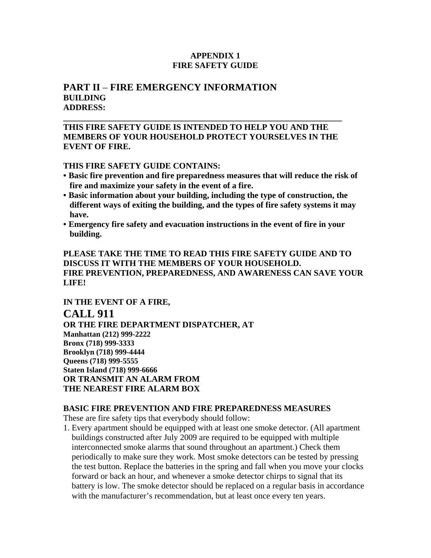### **APPENDIX 1 FIRE SAFETY GUIDE**

# **PART II** – **FIRE EMERGENCY INFORMATION BUILDING ADDRESS:**

### **THIS FIRE SAFETY GUIDE IS INTENDED TO HELP YOU AND THE MEMBERS OF YOUR HOUSEHOLD PROTECT YOURSELVES IN THE EVENT OF FIRE.**

**\_\_\_\_\_\_\_\_\_\_\_\_\_\_\_\_\_\_\_\_\_\_\_\_\_\_\_\_\_\_\_\_\_\_\_\_\_\_\_\_\_\_\_\_\_\_\_\_\_\_\_\_\_\_\_\_\_\_\_\_\_\_\_\_\_\_** 

#### **THIS FIRE SAFETY GUIDE CONTAINS:**

- **Basic fire prevention and fire preparedness measures that will reduce the risk of fire and maximize your safety in the event of a fire.**
- **Basic information about your building, including the type of construction, the different ways of exiting the building, and the types of fire safety systems it may have.**
- **Emergency fire safety and evacuation instructions in the event of fire in your building.**

**PLEASE TAKE THE TIME TO READ THIS FIRE SAFETY GUIDE AND TO DISCUSS IT WITH THE MEMBERS OF YOUR HOUSEHOLD. FIRE PREVENTION, PREPAREDNESS, AND AWARENESS CAN SAVE YOUR LIFE!** 

**IN THE EVENT OF A FIRE, CALL 911 OR THE FIRE DEPARTMENT DISPATCHER, AT Manhattan (212) 999-2222 Bronx (718) 999-3333 Brooklyn (718) 999-4444 Queens (718) 999-5555 Staten Island (718) 999-6666 OR TRANSMIT AN ALARM FROM THE NEAREST FIRE ALARM BOX** 

#### **BASIC FIRE PREVENTION AND FIRE PREPAREDNESS MEASURES**

These are fire safety tips that everybody should follow:

1. Every apartment should be equipped with at least one smoke detector. (All apartment buildings constructed after July 2009 are required to be equipped with multiple interconnected smoke alarms that sound throughout an apartment.) Check them periodically to make sure they work. Most smoke detectors can be tested by pressing the test button. Replace the batteries in the spring and fall when you move your clocks forward or back an hour, and whenever a smoke detector chirps to signal that its battery is low. The smoke detector should be replaced on a regular basis in accordance with the manufacturer's recommendation, but at least once every ten years.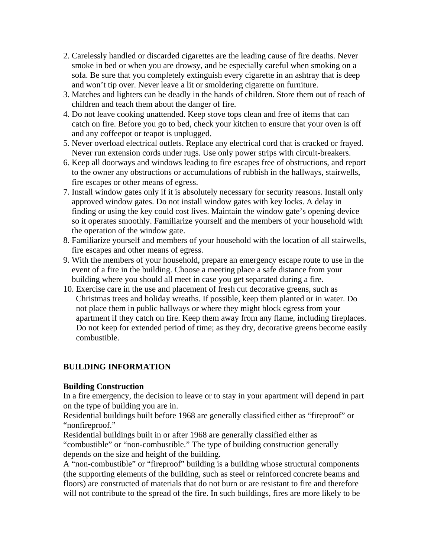- 2. Carelessly handled or discarded cigarettes are the leading cause of fire deaths. Never smoke in bed or when you are drowsy, and be especially careful when smoking on a sofa. Be sure that you completely extinguish every cigarette in an ashtray that is deep and won't tip over. Never leave a lit or smoldering cigarette on furniture.
- 3. Matches and lighters can be deadly in the hands of children. Store them out of reach of children and teach them about the danger of fire.
- 4. Do not leave cooking unattended. Keep stove tops clean and free of items that can catch on fire. Before you go to bed, check your kitchen to ensure that your oven is off and any coffeepot or teapot is unplugged.
- 5. Never overload electrical outlets. Replace any electrical cord that is cracked or frayed. Never run extension cords under rugs. Use only power strips with circuit-breakers.
- 6. Keep all doorways and windows leading to fire escapes free of obstructions, and report to the owner any obstructions or accumulations of rubbish in the hallways, stairwells, fire escapes or other means of egress.
- 7. Install window gates only if it is absolutely necessary for security reasons. Install only approved window gates. Do not install window gates with key locks. A delay in finding or using the key could cost lives. Maintain the window gate's opening device so it operates smoothly. Familiarize yourself and the members of your household with the operation of the window gate.
- 8. Familiarize yourself and members of your household with the location of all stairwells, fire escapes and other means of egress.
- 9. With the members of your household, prepare an emergency escape route to use in the event of a fire in the building. Choose a meeting place a safe distance from your building where you should all meet in case you get separated during a fire.
- 10. Exercise care in the use and placement of fresh cut decorative greens, such as Christmas trees and holiday wreaths. If possible, keep them planted or in water. Do not place them in public hallways or where they might block egress from your apartment if they catch on fire. Keep them away from any flame, including fireplaces. Do not keep for extended period of time; as they dry, decorative greens become easily combustible.

# **BUILDING INFORMATION**

# **Building Construction**

In a fire emergency, the decision to leave or to stay in your apartment will depend in part on the type of building you are in.

Residential buildings built before 1968 are generally classified either as "fireproof" or "nonfireproof."

Residential buildings built in or after 1968 are generally classified either as "combustible" or "non-combustible." The type of building construction generally depends on the size and height of the building.

A "non-combustible" or "fireproof" building is a building whose structural components (the supporting elements of the building, such as steel or reinforced concrete beams and floors) are constructed of materials that do not burn or are resistant to fire and therefore will not contribute to the spread of the fire. In such buildings, fires are more likely to be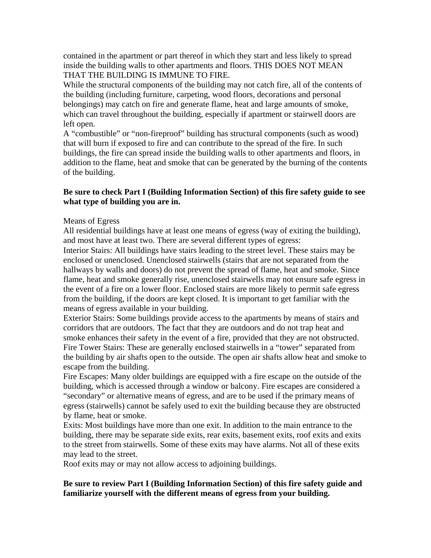contained in the apartment or part thereof in which they start and less likely to spread inside the building walls to other apartments and floors. THIS DOES NOT MEAN THAT THE BUILDING IS IMMUNE TO FIRE.

While the structural components of the building may not catch fire, all of the contents of the building (including furniture, carpeting, wood floors, decorations and personal belongings) may catch on fire and generate flame, heat and large amounts of smoke, which can travel throughout the building, especially if apartment or stairwell doors are left open.

A "combustible" or "non-fireproof" building has structural components (such as wood) that will burn if exposed to fire and can contribute to the spread of the fire. In such buildings, the fire can spread inside the building walls to other apartments and floors, in addition to the flame, heat and smoke that can be generated by the burning of the contents of the building.

## **Be sure to check Part I (Building Information Section) of this fire safety guide to see what type of building you are in.**

### Means of Egress

All residential buildings have at least one means of egress (way of exiting the building), and most have at least two. There are several different types of egress:

Interior Stairs: All buildings have stairs leading to the street level. These stairs may be enclosed or unenclosed. Unenclosed stairwells (stairs that are not separated from the hallways by walls and doors) do not prevent the spread of flame, heat and smoke. Since flame, heat and smoke generally rise, unenclosed stairwells may not ensure safe egress in the event of a fire on a lower floor. Enclosed stairs are more likely to permit safe egress from the building, if the doors are kept closed. It is important to get familiar with the means of egress available in your building.

Exterior Stairs: Some buildings provide access to the apartments by means of stairs and corridors that are outdoors. The fact that they are outdoors and do not trap heat and smoke enhances their safety in the event of a fire, provided that they are not obstructed. Fire Tower Stairs: These are generally enclosed stairwells in a "tower" separated from the building by air shafts open to the outside. The open air shafts allow heat and smoke to escape from the building.

Fire Escapes: Many older buildings are equipped with a fire escape on the outside of the building, which is accessed through a window or balcony. Fire escapes are considered a "secondary" or alternative means of egress, and are to be used if the primary means of egress (stairwells) cannot be safely used to exit the building because they are obstructed by flame, heat or smoke.

Exits: Most buildings have more than one exit. In addition to the main entrance to the building, there may be separate side exits, rear exits, basement exits, roof exits and exits to the street from stairwells. Some of these exits may have alarms. Not all of these exits may lead to the street.

Roof exits may or may not allow access to adjoining buildings.

# **Be sure to review Part I (Building Information Section) of this fire safety guide and familiarize yourself with the different means of egress from your building.**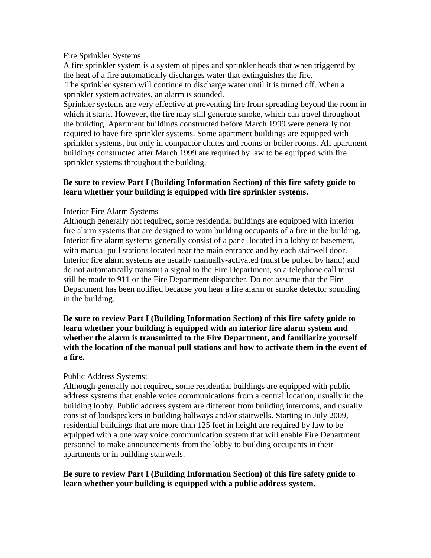#### Fire Sprinkler Systems

A fire sprinkler system is a system of pipes and sprinkler heads that when triggered by the heat of a fire automatically discharges water that extinguishes the fire.

 The sprinkler system will continue to discharge water until it is turned off. When a sprinkler system activates, an alarm is sounded.

Sprinkler systems are very effective at preventing fire from spreading beyond the room in which it starts. However, the fire may still generate smoke, which can travel throughout the building. Apartment buildings constructed before March 1999 were generally not required to have fire sprinkler systems. Some apartment buildings are equipped with sprinkler systems, but only in compactor chutes and rooms or boiler rooms. All apartment buildings constructed after March 1999 are required by law to be equipped with fire sprinkler systems throughout the building.

### **Be sure to review Part I (Building Information Section) of this fire safety guide to learn whether your building is equipped with fire sprinkler systems.**

### Interior Fire Alarm Systems

Although generally not required, some residential buildings are equipped with interior fire alarm systems that are designed to warn building occupants of a fire in the building. Interior fire alarm systems generally consist of a panel located in a lobby or basement, with manual pull stations located near the main entrance and by each stairwell door. Interior fire alarm systems are usually manually-activated (must be pulled by hand) and do not automatically transmit a signal to the Fire Department, so a telephone call must still be made to 911 or the Fire Department dispatcher. Do not assume that the Fire Department has been notified because you hear a fire alarm or smoke detector sounding in the building.

**Be sure to review Part I (Building Information Section) of this fire safety guide to learn whether your building is equipped with an interior fire alarm system and whether the alarm is transmitted to the Fire Department, and familiarize yourself with the location of the manual pull stations and how to activate them in the event of a fire.** 

### Public Address Systems:

Although generally not required, some residential buildings are equipped with public address systems that enable voice communications from a central location, usually in the building lobby. Public address system are different from building intercoms, and usually consist of loudspeakers in building hallways and/or stairwells. Starting in July 2009, residential buildings that are more than 125 feet in height are required by law to be equipped with a one way voice communication system that will enable Fire Department personnel to make announcements from the lobby to building occupants in their apartments or in building stairwells.

### **Be sure to review Part I (Building Information Section) of this fire safety guide to learn whether your building is equipped with a public address system.**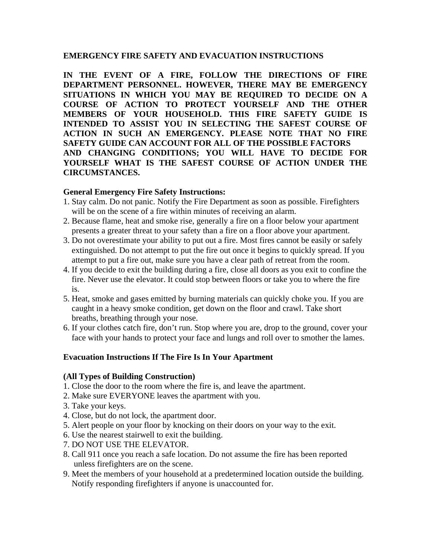### **EMERGENCY FIRE SAFETY AND EVACUATION INSTRUCTIONS**

**IN THE EVENT OF A FIRE, FOLLOW THE DIRECTIONS OF FIRE DEPARTMENT PERSONNEL. HOWEVER, THERE MAY BE EMERGENCY SITUATIONS IN WHICH YOU MAY BE REQUIRED TO DECIDE ON A COURSE OF ACTION TO PROTECT YOURSELF AND THE OTHER MEMBERS OF YOUR HOUSEHOLD. THIS FIRE SAFETY GUIDE IS INTENDED TO ASSIST YOU IN SELECTING THE SAFEST COURSE OF ACTION IN SUCH AN EMERGENCY. PLEASE NOTE THAT NO FIRE SAFETY GUIDE CAN ACCOUNT FOR ALL OF THE POSSIBLE FACTORS AND CHANGING CONDITIONS; YOU WILL HAVE TO DECIDE FOR YOURSELF WHAT IS THE SAFEST COURSE OF ACTION UNDER THE CIRCUMSTANCES.** 

### **General Emergency Fire Safety Instructions:**

- 1. Stay calm. Do not panic. Notify the Fire Department as soon as possible. Firefighters will be on the scene of a fire within minutes of receiving an alarm.
- 2. Because flame, heat and smoke rise, generally a fire on a floor below your apartment presents a greater threat to your safety than a fire on a floor above your apartment.
- 3. Do not overestimate your ability to put out a fire. Most fires cannot be easily or safely extinguished. Do not attempt to put the fire out once it begins to quickly spread. If you attempt to put a fire out, make sure you have a clear path of retreat from the room.
- 4. If you decide to exit the building during a fire, close all doors as you exit to confine the fire. Never use the elevator. It could stop between floors or take you to where the fire is.
- 5. Heat, smoke and gases emitted by burning materials can quickly choke you. If you are caught in a heavy smoke condition, get down on the floor and crawl. Take short breaths, breathing through your nose.
- 6. If your clothes catch fire, don't run. Stop where you are, drop to the ground, cover your face with your hands to protect your face and lungs and roll over to smother the lames.

# **Evacuation Instructions If The Fire Is In Your Apartment**

### **(All Types of Building Construction)**

- 1. Close the door to the room where the fire is, and leave the apartment.
- 2. Make sure EVERYONE leaves the apartment with you.
- 3. Take your keys.
- 4. Close, but do not lock, the apartment door.
- 5. Alert people on your floor by knocking on their doors on your way to the exit.
- 6. Use the nearest stairwell to exit the building.
- 7. DO NOT USE THE ELEVATOR.
- 8. Call 911 once you reach a safe location. Do not assume the fire has been reported unless firefighters are on the scene.
- 9. Meet the members of your household at a predetermined location outside the building. Notify responding firefighters if anyone is unaccounted for.